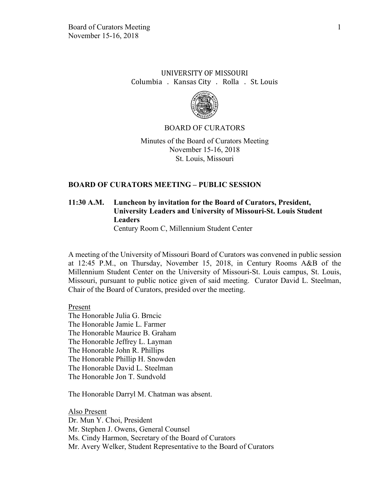## UNIVERSITY OF MISSOURI Columbia . Kansas City . Rolla . St. Louis



#### BOARD OF CURATORS

Minutes of the Board of Curators Meeting November 15-16, 2018 St. Louis, Missouri

#### **BOARD OF CURATORS MEETING – PUBLIC SESSION**

# **11:30 A.M. Luncheon by invitation for the Board of Curators, President, University Leaders and University of Missouri-St. Louis Student Leaders**

Century Room C, Millennium Student Center

A meeting of the University of Missouri Board of Curators was convened in public session at 12:45 P.M., on Thursday, November 15, 2018, in Century Rooms A&B of the Millennium Student Center on the University of Missouri-St. Louis campus, St. Louis, Missouri, pursuant to public notice given of said meeting. Curator David L. Steelman, Chair of the Board of Curators, presided over the meeting.

Present

The Honorable Julia G. Brncic The Honorable Jamie L. Farmer The Honorable Maurice B. Graham The Honorable Jeffrey L. Layman The Honorable John R. Phillips The Honorable Phillip H. Snowden The Honorable David L. Steelman The Honorable Jon T. Sundvold

The Honorable Darryl M. Chatman was absent.

Also Present Dr. Mun Y. Choi, President Mr. Stephen J. Owens, General Counsel Ms. Cindy Harmon, Secretary of the Board of Curators Mr. Avery Welker, Student Representative to the Board of Curators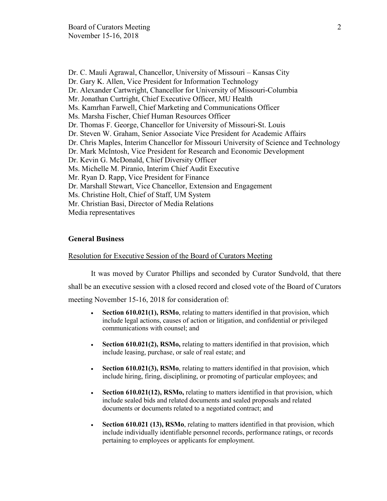Dr. C. Mauli Agrawal, Chancellor, University of Missouri – Kansas City Dr. Gary K. Allen, Vice President for Information Technology Dr. Alexander Cartwright, Chancellor for University of Missouri-Columbia Mr. Jonathan Curtright, Chief Executive Officer, MU Health Ms. Kamrhan Farwell, Chief Marketing and Communications Officer Ms. Marsha Fischer, Chief Human Resources Officer Dr. Thomas F. George, Chancellor for University of Missouri-St. Louis Dr. Steven W. Graham, Senior Associate Vice President for Academic Affairs Dr. Chris Maples, Interim Chancellor for Missouri University of Science and Technology Dr. Mark McIntosh, Vice President for Research and Economic Development Dr. Kevin G. McDonald, Chief Diversity Officer Ms. Michelle M. Piranio, Interim Chief Audit Executive Mr. Ryan D. Rapp, Vice President for Finance Dr. Marshall Stewart, Vice Chancellor, Extension and Engagement Ms. Christine Holt, Chief of Staff, UM System Mr. Christian Basi, Director of Media Relations Media representatives

#### **General Business**

#### Resolution for Executive Session of the Board of Curators Meeting

It was moved by Curator Phillips and seconded by Curator Sundvold, that there shall be an executive session with a closed record and closed vote of the Board of Curators meeting November 15-16, 2018 for consideration of:

- **Section 610.021(1), RSMo**, relating to matters identified in that provision, which include legal actions, causes of action or litigation, and confidential or privileged communications with counsel; and
- **Section 610.021(2), RSMo,** relating to matters identified in that provision, which include leasing, purchase, or sale of real estate; and
- **Section 610.021(3), RSMo**, relating to matters identified in that provision, which include hiring, firing, disciplining, or promoting of particular employees; and
- **Section 610.021(12), RSMo,** relating to matters identified in that provision, which include sealed bids and related documents and sealed proposals and related documents or documents related to a negotiated contract; and
- **Section 610.021 (13), RSMo**, relating to matters identified in that provision, which include individually identifiable personnel records, performance ratings, or records pertaining to employees or applicants for employment.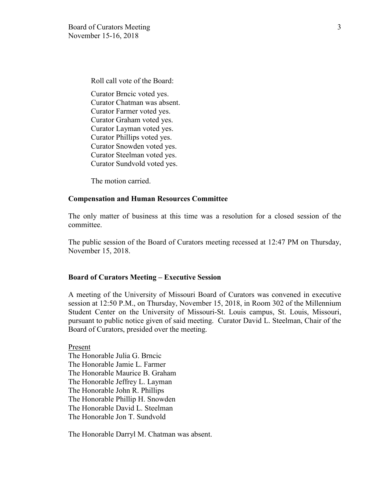Roll call vote of the Board:

Curator Brncic voted yes. Curator Chatman was absent. Curator Farmer voted yes. Curator Graham voted yes. Curator Layman voted yes. Curator Phillips voted yes. Curator Snowden voted yes. Curator Steelman voted yes. Curator Sundvold voted yes.

The motion carried.

#### **Compensation and Human Resources Committee**

The only matter of business at this time was a resolution for a closed session of the committee.

The public session of the Board of Curators meeting recessed at 12:47 PM on Thursday, November 15, 2018.

#### **Board of Curators Meeting – Executive Session**

A meeting of the University of Missouri Board of Curators was convened in executive session at 12:50 P.M., on Thursday, November 15, 2018, in Room 302 of the Millennium Student Center on the University of Missouri-St. Louis campus, St. Louis, Missouri, pursuant to public notice given of said meeting. Curator David L. Steelman, Chair of the Board of Curators, presided over the meeting.

Present The Honorable Julia G. Brncic The Honorable Jamie L. Farmer The Honorable Maurice B. Graham The Honorable Jeffrey L. Layman The Honorable John R. Phillips The Honorable Phillip H. Snowden The Honorable David L. Steelman The Honorable Jon T. Sundvold

The Honorable Darryl M. Chatman was absent.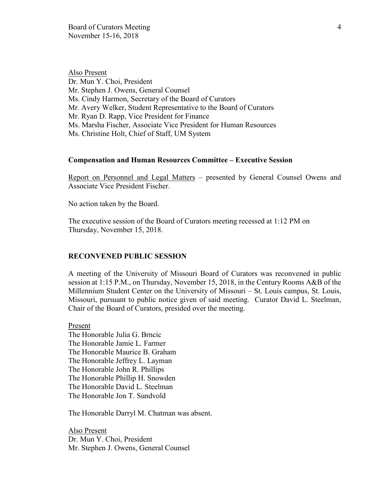Also Present Dr. Mun Y. Choi, President Mr. Stephen J. Owens, General Counsel Ms. Cindy Harmon, Secretary of the Board of Curators Mr. Avery Welker, Student Representative to the Board of Curators Mr. Ryan D. Rapp, Vice President for Finance Ms. Marsha Fischer, Associate Vice President for Human Resources Ms. Christine Holt, Chief of Staff, UM System

#### **Compensation and Human Resources Committee – Executive Session**

Report on Personnel and Legal Matters – presented by General Counsel Owens and Associate Vice President Fischer.

No action taken by the Board.

The executive session of the Board of Curators meeting recessed at 1:12 PM on Thursday, November 15, 2018.

#### **RECONVENED PUBLIC SESSION**

A meeting of the University of Missouri Board of Curators was reconvened in public session at 1:15 P.M., on Thursday, November 15, 2018, in the Century Rooms A&B of the Millennium Student Center on the University of Missouri – St. Louis campus, St. Louis, Missouri, pursuant to public notice given of said meeting. Curator David L. Steelman, Chair of the Board of Curators, presided over the meeting.

Present The Honorable Julia G. Brncic The Honorable Jamie L. Farmer The Honorable Maurice B. Graham The Honorable Jeffrey L. Layman The Honorable John R. Phillips The Honorable Phillip H. Snowden The Honorable David L. Steelman The Honorable Jon T. Sundvold

The Honorable Darryl M. Chatman was absent.

Also Present Dr. Mun Y. Choi, President Mr. Stephen J. Owens, General Counsel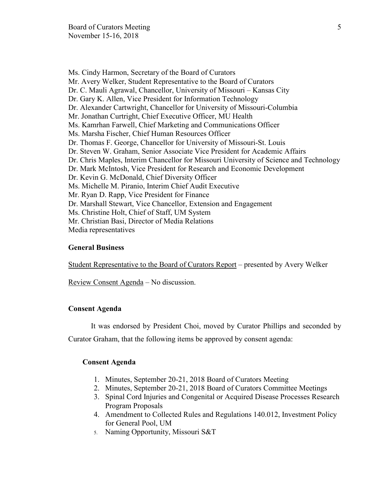Ms. Cindy Harmon, Secretary of the Board of Curators Mr. Avery Welker, Student Representative to the Board of Curators Dr. C. Mauli Agrawal, Chancellor, University of Missouri – Kansas City Dr. Gary K. Allen, Vice President for Information Technology Dr. Alexander Cartwright, Chancellor for University of Missouri-Columbia Mr. Jonathan Curtright, Chief Executive Officer, MU Health Ms. Kamrhan Farwell, Chief Marketing and Communications Officer Ms. Marsha Fischer, Chief Human Resources Officer Dr. Thomas F. George, Chancellor for University of Missouri-St. Louis Dr. Steven W. Graham, Senior Associate Vice President for Academic Affairs Dr. Chris Maples, Interim Chancellor for Missouri University of Science and Technology Dr. Mark McIntosh, Vice President for Research and Economic Development Dr. Kevin G. McDonald, Chief Diversity Officer Ms. Michelle M. Piranio, Interim Chief Audit Executive Mr. Ryan D. Rapp, Vice President for Finance Dr. Marshall Stewart, Vice Chancellor, Extension and Engagement Ms. Christine Holt, Chief of Staff, UM System Mr. Christian Basi, Director of Media Relations Media representatives

#### **General Business**

Student Representative to the Board of Curators Report – presented by Avery Welker

Review Consent Agenda – No discussion.

#### **Consent Agenda**

It was endorsed by President Choi, moved by Curator Phillips and seconded by

Curator Graham, that the following items be approved by consent agenda:

## **Consent Agenda**

- 1. Minutes, September 20-21, 2018 Board of Curators Meeting
- 2. Minutes, September 20-21, 2018 Board of Curators Committee Meetings
- 3. Spinal Cord Injuries and Congenital or Acquired Disease Processes Research Program Proposals
- 4. Amendment to Collected Rules and Regulations 140.012, Investment Policy for General Pool, UM
- 5. Naming Opportunity, Missouri S&T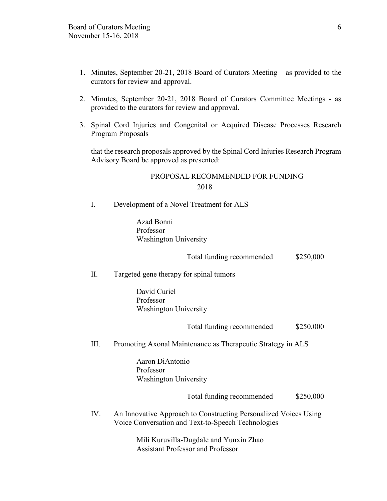- 1. Minutes, September 20-21, 2018 Board of Curators Meeting as provided to the curators for review and approval.
- 2. Minutes, September 20-21, 2018 Board of Curators Committee Meetings as provided to the curators for review and approval.
- 3. Spinal Cord Injuries and Congenital or Acquired Disease Processes Research Program Proposals –

that the research proposals approved by the Spinal Cord Injuries Research Program Advisory Board be approved as presented:

## PROPOSAL RECOMMENDED FOR FUNDING 2018

I. Development of a Novel Treatment for ALS

 Azad Bonni Professor Washington University

Total funding recommended \$250,000

II. Targeted gene therapy for spinal tumors

 David Curiel Professor Washington University

Total funding recommended \$250,000

III. Promoting Axonal Maintenance as Therapeutic Strategy in ALS

 Aaron DiAntonio Professor Washington University

Total funding recommended \$250,000

IV. An Innovative Approach to Constructing Personalized Voices Using Voice Conversation and Text-to-Speech Technologies

> Mili Kuruvilla-Dugdale and Yunxin Zhao Assistant Professor and Professor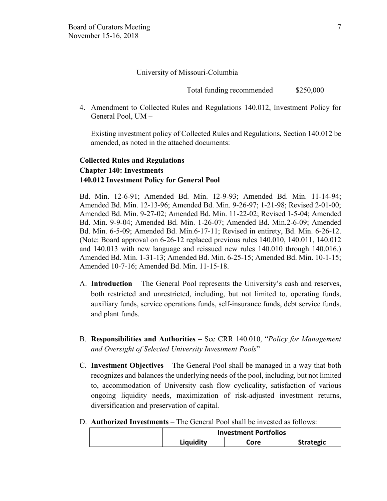#### University of Missouri-Columbia

Total funding recommended \$250,000

4. Amendment to Collected Rules and Regulations 140.012, Investment Policy for General Pool, UM –

Existing investment policy of Collected Rules and Regulations, Section 140.012 be amended, as noted in the attached documents:

## **Collected Rules and Regulations Chapter 140: Investments 140.012 Investment Policy for General Pool**

Bd. Min. 12-6-91; Amended Bd. Min. 12-9-93; Amended Bd. Min. 11-14-94; Amended Bd. Min. 12-13-96; Amended Bd. Min. 9-26-97; 1-21-98; Revised 2-01-00; Amended Bd. Min. 9-27-02; Amended Bd. Min. 11-22-02; Revised 1-5-04; Amended Bd. Min. 9-9-04; Amended Bd. Min. 1-26-07; Amended Bd. Min.2-6-09; Amended Bd. Min. 6-5-09; Amended Bd. Min.6-17-11; Revised in entirety, Bd. Min. 6-26-12. (Note: Board approval on 6-26-12 replaced previous rules 140.010, 140.011, 140.012 and 140.013 with new language and reissued new rules 140.010 through 140.016.) Amended Bd. Min. 1-31-13; Amended Bd. Min. 6-25-15; Amended Bd. Min. 10-1-15; Amended 10-7-16; Amended Bd. Min. 11-15-18.

- A. **Introduction** The General Pool represents the University's cash and reserves, both restricted and unrestricted, including, but not limited to, operating funds, auxiliary funds, service operations funds, self-insurance funds, debt service funds, and plant funds.
- B. **Responsibilities and Authorities** See CRR 140.010, "*Policy for Management and Oversight of Selected University Investment Pools*"
- C. **Investment Objectives** The General Pool shall be managed in a way that both recognizes and balances the underlying needs of the pool, including, but not limited to, accommodation of University cash flow cyclicality, satisfaction of various ongoing liquidity needs, maximization of risk-adjusted investment returns, diversification and preservation of capital.
- D. **Authorized Investments** The General Pool shall be invested as follows:

| <b>Investment Portfolios</b> |      |                  |
|------------------------------|------|------------------|
| Liquidity                    | Core | <b>Strategic</b> |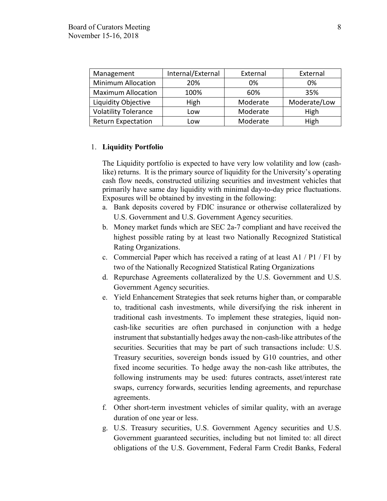| Management                  | Internal/External | External | External     |
|-----------------------------|-------------------|----------|--------------|
| <b>Minimum Allocation</b>   | 20%               | 0%       | 0%           |
| <b>Maximum Allocation</b>   | 100%              | 60%      | 35%          |
| Liquidity Objective         | High              | Moderate | Moderate/Low |
| <b>Volatility Tolerance</b> | Low               | Moderate | High         |
| <b>Return Expectation</b>   | Low               | Moderate | High         |

## 1. **Liquidity Portfolio**

The Liquidity portfolio is expected to have very low volatility and low (cashlike) returns. It is the primary source of liquidity for the University's operating cash flow needs, constructed utilizing securities and investment vehicles that primarily have same day liquidity with minimal day-to-day price fluctuations. Exposures will be obtained by investing in the following:

- a. Bank deposits covered by FDIC insurance or otherwise collateralized by U.S. Government and U.S. Government Agency securities.
- b. Money market funds which are SEC 2a-7 compliant and have received the highest possible rating by at least two Nationally Recognized Statistical Rating Organizations.
- c. Commercial Paper which has received a rating of at least A1 / P1 / F1 by two of the Nationally Recognized Statistical Rating Organizations
- d. Repurchase Agreements collateralized by the U.S. Government and U.S. Government Agency securities.
- e. Yield Enhancement Strategies that seek returns higher than, or comparable to, traditional cash investments, while diversifying the risk inherent in traditional cash investments. To implement these strategies, liquid noncash-like securities are often purchased in conjunction with a hedge instrument that substantially hedges away the non-cash-like attributes of the securities. Securities that may be part of such transactions include: U.S. Treasury securities, sovereign bonds issued by G10 countries, and other fixed income securities. To hedge away the non-cash like attributes, the following instruments may be used: futures contracts, asset/interest rate swaps, currency forwards, securities lending agreements, and repurchase agreements.
- f. Other short-term investment vehicles of similar quality, with an average duration of one year or less.
- g. U.S. Treasury securities, U.S. Government Agency securities and U.S. Government guaranteed securities, including but not limited to: all direct obligations of the U.S. Government, Federal Farm Credit Banks, Federal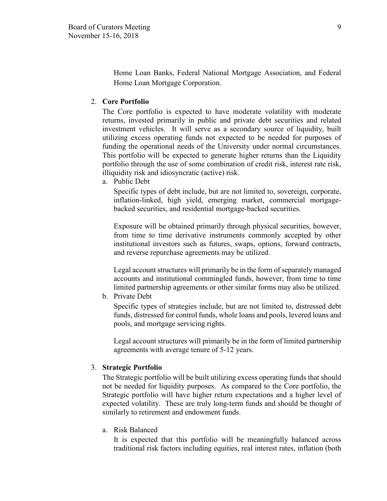Home Loan Banks, Federal National Mortgage Association, and Federal Home Loan Mortgage Corporation.

#### 2. **Core Portfolio**

The Core portfolio is expected to have moderate volatility with moderate returns, invested primarily in public and private debt securities and related investment vehicles. It will serve as a secondary source of liquidity, built utilizing excess operating funds not expected to be needed for purposes of funding the operational needs of the University under normal circumstances. This portfolio will be expected to generate higher returns than the Liquidity portfolio through the use of some combination of credit risk, interest rate risk, illiquidity risk and idiosyncratic (active) risk.

a. Public Debt

Specific types of debt include, but are not limited to, sovereign, corporate, inflation-linked, high yield, emerging market, commercial mortgagebacked securities, and residential mortgage-backed securities.

Exposure will be obtained primarily through physical securities, however, from time to time derivative instruments commonly accepted by other institutional investors such as futures, swaps, options, forward contracts, and reverse repurchase agreements may be utilized.

Legal account structures will primarily be in the form of separately managed accounts and institutional commingled funds, however, from time to time limited partnership agreements or other similar forms may also be utilized.

b. Private Debt

Specific types of strategies include, but are not limited to, distressed debt funds, distressed for control funds, whole loans and pools, levered loans and pools, and mortgage servicing rights.

Legal account structures will primarily be in the form of limited partnership agreements with average tenure of 5-12 years.

#### 3. **Strategic Portfolio**

The Strategic portfolio will be built utilizing excess operating funds that should not be needed for liquidity purposes. As compared to the Core portfolio, the Strategic portfolio will have higher return expectations and a higher level of expected volatility. These are truly long-term funds and should be thought of similarly to retirement and endowment funds.

a. Risk Balanced

It is expected that this portfolio will be meaningfully balanced across traditional risk factors including equities, real interest rates, inflation (both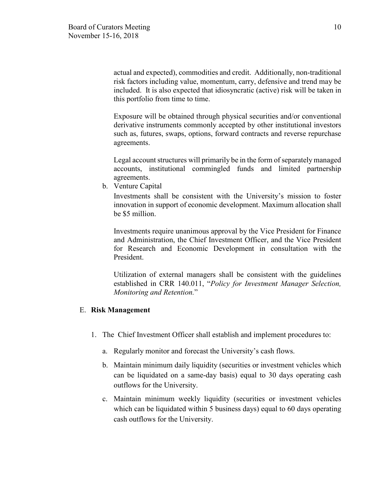actual and expected), commodities and credit. Additionally, non-traditional risk factors including value, momentum, carry, defensive and trend may be included. It is also expected that idiosyncratic (active) risk will be taken in this portfolio from time to time.

Exposure will be obtained through physical securities and/or conventional derivative instruments commonly accepted by other institutional investors such as, futures, swaps, options, forward contracts and reverse repurchase agreements.

Legal account structures will primarily be in the form of separately managed accounts, institutional commingled funds and limited partnership agreements.

b. Venture Capital

Investments shall be consistent with the University's mission to foster innovation in support of economic development. Maximum allocation shall be \$5 million.

Investments require unanimous approval by the Vice President for Finance and Administration, the Chief Investment Officer, and the Vice President for Research and Economic Development in consultation with the President.

Utilization of external managers shall be consistent with the guidelines established in CRR 140.011, "*Policy for Investment Manager Selection, Monitoring and Retention.*"

## E. **Risk Management**

- 1. The Chief Investment Officer shall establish and implement procedures to:
	- a. Regularly monitor and forecast the University's cash flows.
	- b. Maintain minimum daily liquidity (securities or investment vehicles which can be liquidated on a same-day basis) equal to 30 days operating cash outflows for the University.
	- c. Maintain minimum weekly liquidity (securities or investment vehicles which can be liquidated within 5 business days) equal to 60 days operating cash outflows for the University.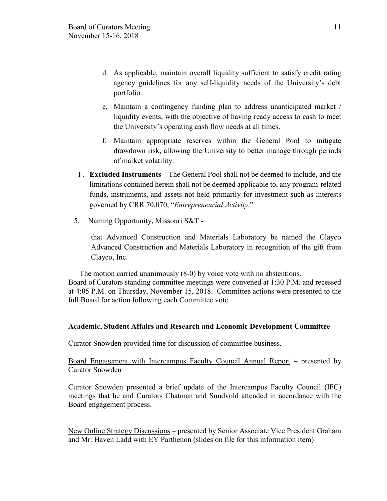- d. As applicable, maintain overall liquidity sufficient to satisfy credit rating agency guidelines for any self-liquidity needs of the University's debt portfolio.
- e. Maintain a contingency funding plan to address unanticipated market / liquidity events, with the objective of having ready access to cash to meet the University's operating cash flow needs at all times.
- f. Maintain appropriate reserves within the General Pool to mitigate drawdown risk, allowing the University to better manage through periods of market volatility.
- F. **Excluded Instruments –** The General Pool shall not be deemed to include, and the limitations contained herein shall not be deemed applicable to, any program-related funds, instruments, and assets not held primarily for investment such as interests governed by CRR 70.070, "*Entrepreneurial Activity*."
- 5. Naming Opportunity, Missouri S&T -

that Advanced Construction and Materials Laboratory be named the Clayco Advanced Construction and Materials Laboratory in recognition of the gift from Clayco, Inc.

The motion carried unanimously (8-0) by voice vote with no abstentions. Board of Curators standing committee meetings were convened at 1:30 P.M. and recessed at 4:05 P.M. on Thursday, November 15, 2018. Committee actions were presented to the full Board for action following each Committee vote.

## **Academic, Student Affairs and Research and Economic Development Committee**

Curator Snowden provided time for discussion of committee business.

Board Engagement with Intercampus Faculty Council Annual Report – presented by Curator Snowden

Curator Snowden presented a brief update of the Intercampus Faculty Council (IFC) meetings that he and Curators Chatman and Sundvold attended in accordance with the Board engagement process.

New Online Strategy Discussions – presented by Senior Associate Vice President Graham and Mr. Haven Ladd with EY Parthenon (slides on file for this information item)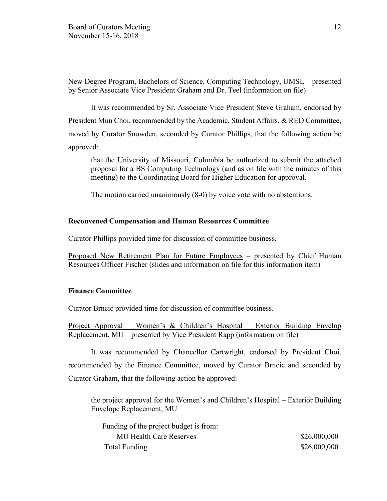New Degree Program, Bachelors of Science, Computing Technology, UMSL – presented by Senior Associate Vice President Graham and Dr. Teel (information on file)

It was recommended by Sr. Associate Vice President Steve Graham, endorsed by President Mun Choi, recommended by the Academic, Student Affairs, & RED Committee, moved by Curator Snowden, seconded by Curator Phillips, that the following action be approved:

that the University of Missouri, Columbia be authorized to submit the attached proposal for a BS Computing Technology (and as on file with the minutes of this meeting) to the Coordinating Board for Higher Education for approval.

The motion carried unanimously (8-0) by voice vote with no abstentions.

#### **Reconvened Compensation and Human Resources Committee**

Curator Phillips provided time for discussion of committee business.

Proposed New Retirement Plan for Future Employees – presented by Chief Human Resources Officer Fischer (slides and information on file for this information item)

## **Finance Committee**

Curator Brncic provided time for discussion of committee business.

Project Approval – Women's & Children's Hospital – Exterior Building Envelop Replacement, MU – presented by Vice President Rapp (information on file)

It was recommended by Chancellor Cartwright, endorsed by President Choi, recommended by the Finance Committee, moved by Curator Brncic and seconded by Curator Graham, that the following action be approved:

the project approval for the Women's and Children's Hospital – Exterior Building Envelope Replacement, MU

| Funding of the project budget is from: |              |
|----------------------------------------|--------------|
| <b>MU Health Care Reserves</b>         | \$26,000,000 |
| Total Funding                          | \$26,000,000 |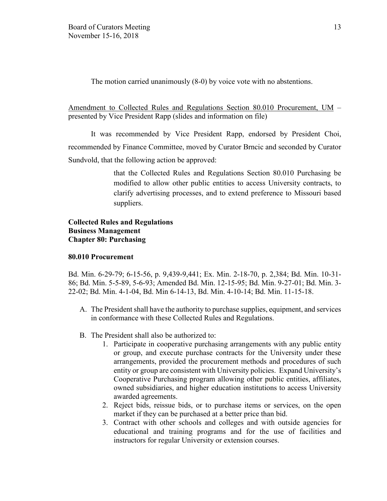The motion carried unanimously (8-0) by voice vote with no abstentions.

Amendment to Collected Rules and Regulations Section 80.010 Procurement, UM – presented by Vice President Rapp (slides and information on file)

It was recommended by Vice President Rapp, endorsed by President Choi, recommended by Finance Committee, moved by Curator Brncic and seconded by Curator Sundvold, that the following action be approved:

> that the Collected Rules and Regulations Section 80.010 Purchasing be modified to allow other public entities to access University contracts, to clarify advertising processes, and to extend preference to Missouri based suppliers.

## **Collected Rules and Regulations Business Management Chapter 80: Purchasing**

## **80.010 Procurement**

Bd. Min. 6-29-79; 6-15-56, p. 9,439-9,441; Ex. Min. 2-18-70, p. 2,384; Bd. Min. 10-31- 86; Bd. Min. 5-5-89, 5-6-93; Amended Bd. Min. 12-15-95; Bd. Min. 9-27-01; Bd. Min. 3- 22-02; Bd. Min. 4-1-04, Bd. Min 6-14-13, Bd. Min. 4-10-14; Bd. Min. 11-15-18.

- A. The President shall have the authority to purchase supplies, equipment, and services in conformance with these Collected Rules and Regulations.
- B. The President shall also be authorized to:
	- 1. Participate in cooperative purchasing arrangements with any public entity or group, and execute purchase contracts for the University under these arrangements, provided the procurement methods and procedures of such entity or group are consistent with University policies. Expand University's Cooperative Purchasing program allowing other public entities, affiliates, owned subsidiaries, and higher education institutions to access University awarded agreements.
	- 2. Reject bids, reissue bids, or to purchase items or services, on the open market if they can be purchased at a better price than bid.
	- 3. Contract with other schools and colleges and with outside agencies for educational and training programs and for the use of facilities and instructors for regular University or extension courses.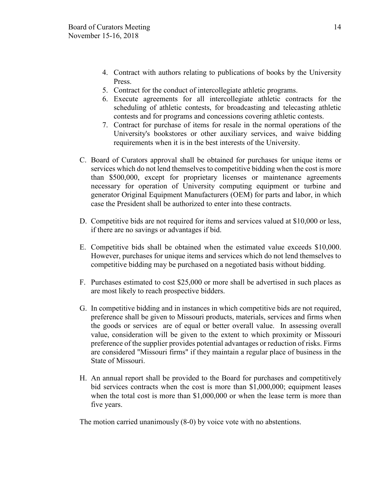- 4. Contract with authors relating to publications of books by the University **Press**.
- 5. Contract for the conduct of intercollegiate athletic programs.
- 6. Execute agreements for all intercollegiate athletic contracts for the scheduling of athletic contests, for broadcasting and telecasting athletic contests and for programs and concessions covering athletic contests.
- 7. Contract for purchase of items for resale in the normal operations of the University's bookstores or other auxiliary services, and waive bidding requirements when it is in the best interests of the University.
- C. Board of Curators approval shall be obtained for purchases for unique items or services which do not lend themselves to competitive bidding when the cost is more than \$500,000, except for proprietary licenses or maintenance agreements necessary for operation of University computing equipment or turbine and generator Original Equipment Manufacturers (OEM) for parts and labor, in which case the President shall be authorized to enter into these contracts.
- D. Competitive bids are not required for items and services valued at \$10,000 or less, if there are no savings or advantages if bid.
- E. Competitive bids shall be obtained when the estimated value exceeds \$10,000. However, purchases for unique items and services which do not lend themselves to competitive bidding may be purchased on a negotiated basis without bidding.
- F. Purchases estimated to cost \$25,000 or more shall be advertised in such places as are most likely to reach prospective bidders.
- G. In competitive bidding and in instances in which competitive bids are not required, preference shall be given to Missouri products, materials, services and firms when the goods or services are of equal or better overall value. In assessing overall value, consideration will be given to the extent to which proximity or Missouri preference of the supplier provides potential advantages or reduction of risks. Firms are considered "Missouri firms" if they maintain a regular place of business in the State of Missouri.
- H. An annual report shall be provided to the Board for purchases and competitively bid services contracts when the cost is more than \$1,000,000; equipment leases when the total cost is more than \$1,000,000 or when the lease term is more than five years.

The motion carried unanimously (8-0) by voice vote with no abstentions.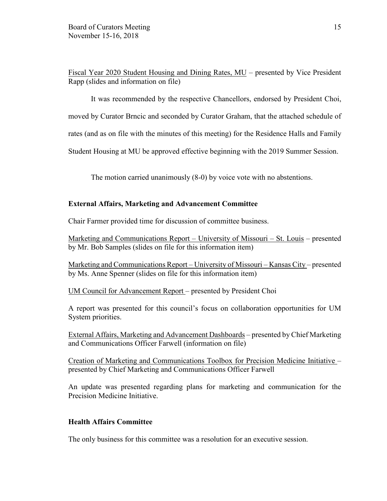Fiscal Year 2020 Student Housing and Dining Rates, MU – presented by Vice President Rapp (slides and information on file)

It was recommended by the respective Chancellors, endorsed by President Choi, moved by Curator Brncic and seconded by Curator Graham, that the attached schedule of rates (and as on file with the minutes of this meeting) for the Residence Halls and Family Student Housing at MU be approved effective beginning with the 2019 Summer Session.

The motion carried unanimously (8-0) by voice vote with no abstentions.

## **External Affairs, Marketing and Advancement Committee**

Chair Farmer provided time for discussion of committee business.

Marketing and Communications Report – University of Missouri – St. Louis – presented by Mr. Bob Samples (slides on file for this information item)

Marketing and Communications Report – University of Missouri – Kansas City – presented by Ms. Anne Spenner (slides on file for this information item)

UM Council for Advancement Report – presented by President Choi

A report was presented for this council's focus on collaboration opportunities for UM System priorities.

External Affairs, Marketing and Advancement Dashboards – presented by Chief Marketing and Communications Officer Farwell (information on file)

Creation of Marketing and Communications Toolbox for Precision Medicine Initiative – presented by Chief Marketing and Communications Officer Farwell

An update was presented regarding plans for marketing and communication for the Precision Medicine Initiative.

## **Health Affairs Committee**

The only business for this committee was a resolution for an executive session.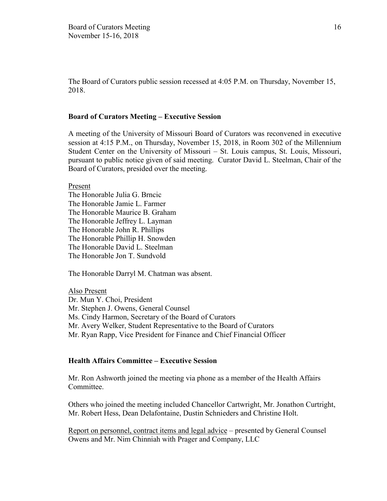The Board of Curators public session recessed at 4:05 P.M. on Thursday, November 15, 2018.

#### **Board of Curators Meeting – Executive Session**

A meeting of the University of Missouri Board of Curators was reconvened in executive session at 4:15 P.M., on Thursday, November 15, 2018, in Room 302 of the Millennium Student Center on the University of Missouri – St. Louis campus, St. Louis, Missouri, pursuant to public notice given of said meeting. Curator David L. Steelman, Chair of the Board of Curators, presided over the meeting.

Present

The Honorable Julia G. Brncic The Honorable Jamie L. Farmer The Honorable Maurice B. Graham The Honorable Jeffrey L. Layman The Honorable John R. Phillips The Honorable Phillip H. Snowden The Honorable David L. Steelman The Honorable Jon T. Sundvold

The Honorable Darryl M. Chatman was absent.

Also Present Dr. Mun Y. Choi, President Mr. Stephen J. Owens, General Counsel Ms. Cindy Harmon, Secretary of the Board of Curators Mr. Avery Welker, Student Representative to the Board of Curators Mr. Ryan Rapp, Vice President for Finance and Chief Financial Officer

#### **Health Affairs Committee – Executive Session**

Mr. Ron Ashworth joined the meeting via phone as a member of the Health Affairs Committee.

Others who joined the meeting included Chancellor Cartwright, Mr. Jonathon Curtright, Mr. Robert Hess, Dean Delafontaine, Dustin Schnieders and Christine Holt.

Report on personnel, contract items and legal advice – presented by General Counsel Owens and Mr. Nim Chinniah with Prager and Company, LLC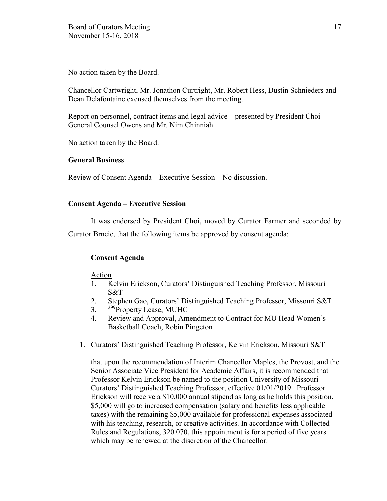No action taken by the Board.

Chancellor Cartwright, Mr. Jonathon Curtright, Mr. Robert Hess, Dustin Schnieders and Dean Delafontaine excused themselves from the meeting.

Report on personnel, contract items and legal advice – presented by President Choi General Counsel Owens and Mr. Nim Chinniah

No action taken by the Board.

## **General Business**

Review of Consent Agenda – Executive Session – No discussion.

## **Consent Agenda – Executive Session**

It was endorsed by President Choi, moved by Curator Farmer and seconded by

Curator Brncic, that the following items be approved by consent agenda:

## **Consent Agenda**

## Action

- 1. Kelvin Erickson, Curators' Distinguished Teaching Professor, Missouri S&T
- 2. Stephen Gao, Curators' Distinguished Teaching Professor, Missouri S&T
- 3. <sup>299</sup>Property Lease, MUHC
- 4. Review and Approval, Amendment to Contract for MU Head Women's Basketball Coach, Robin Pingeton
- 1. Curators' Distinguished Teaching Professor, Kelvin Erickson, Missouri S&T –

that upon the recommendation of Interim Chancellor Maples, the Provost, and the Senior Associate Vice President for Academic Affairs, it is recommended that Professor Kelvin Erickson be named to the position University of Missouri Curators' Distinguished Teaching Professor, effective 01/01/2019. Professor Erickson will receive a \$10,000 annual stipend as long as he holds this position. \$5,000 will go to increased compensation (salary and benefits less applicable taxes) with the remaining \$5,000 available for professional expenses associated with his teaching, research, or creative activities. In accordance with Collected Rules and Regulations, 320.070, this appointment is for a period of five years which may be renewed at the discretion of the Chancellor.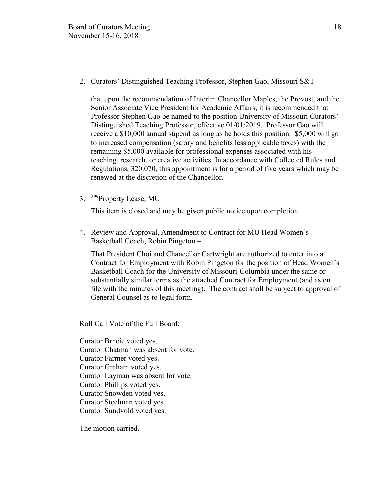2. Curators' Distinguished Teaching Professor, Stephen Gao, Missouri S&T –

that upon the recommendation of Interim Chancellor Maples, the Provost, and the Senior Associate Vice President for Academic Affairs, it is recommended that Professor Stephen Gao be named to the position University of Missouri Curators' Distinguished Teaching Professor, effective 01/01/2019. Professor Gao will receive a \$10,000 annual stipend as long as he holds this position. \$5,000 will go to increased compensation (salary and benefits less applicable taxes) with the remaining \$5,000 available for professional expenses associated with his teaching, research, or creative activities. In accordance with Collected Rules and Regulations, 320.070, this appointment is for a period of five years which may be renewed at the discretion of the Chancellor.

3. <sup>299</sup> Property Lease, MU –

This item is closed and may be given public notice upon completion.

4. Review and Approval, Amendment to Contract for MU Head Women's Basketball Coach, Robin Pingeton –

That President Choi and Chancellor Cartwright are authorized to enter into a Contract for Employment with Robin Pingeton for the position of Head Women's Basketball Coach for the University of Missouri-Columbia under the same or substantially similar terms as the attached Contract for Employment (and as on file with the minutes of this meeting). The contract shall be subject to approval of General Counsel as to legal form.

Roll Call Vote of the Full Board:

Curator Brncic voted yes. Curator Chatman was absent for vote. Curator Farmer voted yes. Curator Graham voted yes. Curator Layman was absent for vote. Curator Phillips voted yes. Curator Snowden voted yes. Curator Steelman voted yes. Curator Sundvold voted yes.

The motion carried.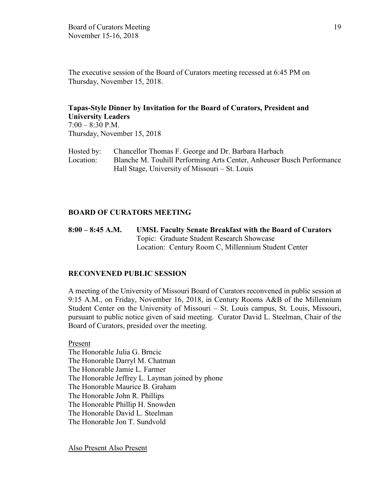The executive session of the Board of Curators meeting recessed at 6:45 PM on Thursday, November 15, 2018.

#### **Tapas-Style Dinner by Invitation for the Board of Curators, President and University Leaders**  $7:00 - 8:30$  P.M.

Thursday, November 15, 2018

Hosted by: Chancellor Thomas F. George and Dr. Barbara Harbach Location: Blanche M. Touhill Performing Arts Center, Anheuser Busch Performance Hall Stage, University of Missouri – St. Louis

## **BOARD OF CURATORS MEETING**

**8:00 – 8:45 A.M. UMSL Faculty Senate Breakfast with the Board of Curators**  Topic: Graduate Student Research Showcase Location: Century Room C, Millennium Student Center

## **RECONVENED PUBLIC SESSION**

A meeting of the University of Missouri Board of Curators reconvened in public session at 9:15 A.M., on Friday, November 16, 2018, in Century Rooms A&B of the Millennium Student Center on the University of Missouri – St. Louis campus, St. Louis, Missouri, pursuant to public notice given of said meeting. Curator David L. Steelman, Chair of the Board of Curators, presided over the meeting.

Present The Honorable Julia G. Brncic The Honorable Darryl M. Chatman The Honorable Jamie L. Farmer The Honorable Jeffrey L. Layman joined by phone The Honorable Maurice B. Graham The Honorable John R. Phillips The Honorable Phillip H. Snowden The Honorable David L. Steelman The Honorable Jon T. Sundvold

Also Present Also Present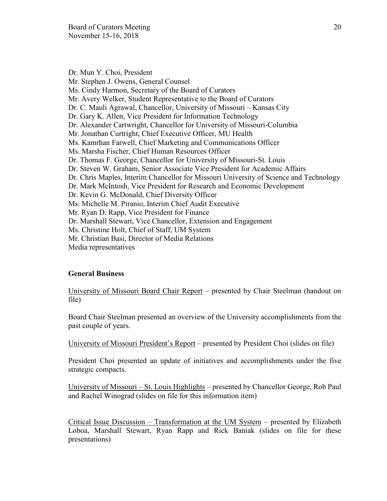Dr. Mun Y. Choi, President Mr. Stephen J. Owens, General Counsel Ms. Cindy Harmon, Secretary of the Board of Curators Mr. Avery Welker, Student Representative to the Board of Curators Dr. C. Mauli Agrawal, Chancellor, University of Missouri – Kansas City Dr. Gary K. Allen, Vice President for Information Technology Dr. Alexander Cartwright, Chancellor for University of Missouri-Columbia Mr. Jonathan Curtright, Chief Executive Officer, MU Health Ms. Kamrhan Farwell, Chief Marketing and Communications Officer Ms. Marsha Fischer, Chief Human Resources Officer Dr. Thomas F. George, Chancellor for University of Missouri-St. Louis Dr. Steven W. Graham, Senior Associate Vice President for Academic Affairs Dr. Chris Maples, Interim Chancellor for Missouri University of Science and Technology Dr. Mark McIntosh, Vice President for Research and Economic Development Dr. Kevin G. McDonald, Chief Diversity Officer Ms. Michelle M. Piranio, Interim Chief Audit Executive Mr. Ryan D. Rapp, Vice President for Finance Dr. Marshall Stewart, Vice Chancellor, Extension and Engagement Ms. Christine Holt, Chief of Staff, UM System Mr. Christian Basi, Director of Media Relations Media representatives

## **General Business**

University of Missouri Board Chair Report – presented by Chair Steelman (handout on file)

Board Chair Steelman presented an overview of the University accomplishments from the past couple of years.

University of Missouri President's Report – presented by President Choi (slides on file)

President Choi presented an update of initiatives and accomplishments under the five strategic compacts.

University of Missouri – St. Louis Highlights – presented by Chancellor George, Rob Paul and Rachel Winograd (slides on file for this information item)

Critical Issue Discussion – Transformation at the UM System – presented by Elizabeth Loboa, Marshall Stewart, Ryan Rapp and Rick Baniak (slides on file for these presentations)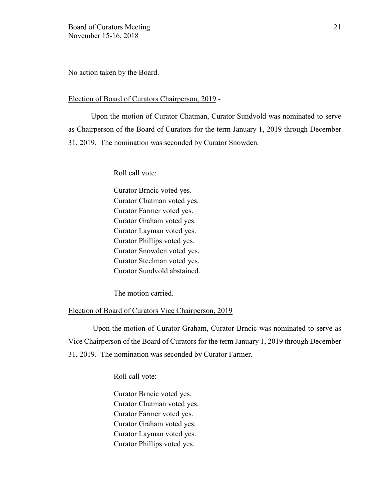No action taken by the Board.

#### Election of Board of Curators Chairperson, 2019 -

Upon the motion of Curator Chatman, Curator Sundvold was nominated to serve as Chairperson of the Board of Curators for the term January 1, 2019 through December 31, 2019. The nomination was seconded by Curator Snowden.

Roll call vote:

Curator Brncic voted yes. Curator Chatman voted yes. Curator Farmer voted yes. Curator Graham voted yes. Curator Layman voted yes. Curator Phillips voted yes. Curator Snowden voted yes. Curator Steelman voted yes. Curator Sundvold abstained.

The motion carried.

## Election of Board of Curators Vice Chairperson, 2019 –

Upon the motion of Curator Graham, Curator Brncic was nominated to serve as Vice Chairperson of the Board of Curators for the term January 1, 2019 through December 31, 2019. The nomination was seconded by Curator Farmer.

Roll call vote:

Curator Brncic voted yes. Curator Chatman voted yes. Curator Farmer voted yes. Curator Graham voted yes. Curator Layman voted yes. Curator Phillips voted yes.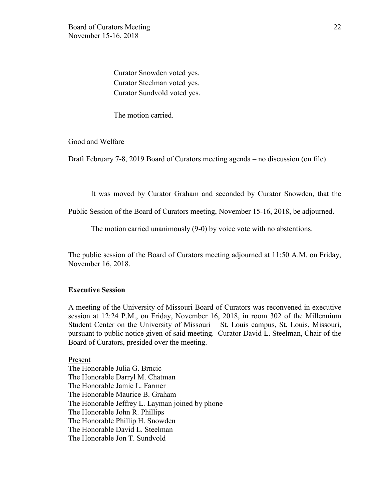Curator Snowden voted yes. Curator Steelman voted yes. Curator Sundvold voted yes.

The motion carried.

#### Good and Welfare

Draft February 7-8, 2019 Board of Curators meeting agenda – no discussion (on file)

It was moved by Curator Graham and seconded by Curator Snowden, that the

Public Session of the Board of Curators meeting, November 15-16, 2018, be adjourned.

The motion carried unanimously (9-0) by voice vote with no abstentions.

The public session of the Board of Curators meeting adjourned at 11:50 A.M. on Friday, November 16, 2018.

## **Executive Session**

A meeting of the University of Missouri Board of Curators was reconvened in executive session at 12:24 P.M., on Friday, November 16, 2018, in room 302 of the Millennium Student Center on the University of Missouri – St. Louis campus, St. Louis, Missouri, pursuant to public notice given of said meeting. Curator David L. Steelman, Chair of the Board of Curators, presided over the meeting.

Present The Honorable Julia G. Brncic The Honorable Darryl M. Chatman The Honorable Jamie L. Farmer The Honorable Maurice B. Graham The Honorable Jeffrey L. Layman joined by phone The Honorable John R. Phillips The Honorable Phillip H. Snowden The Honorable David L. Steelman The Honorable Jon T. Sundvold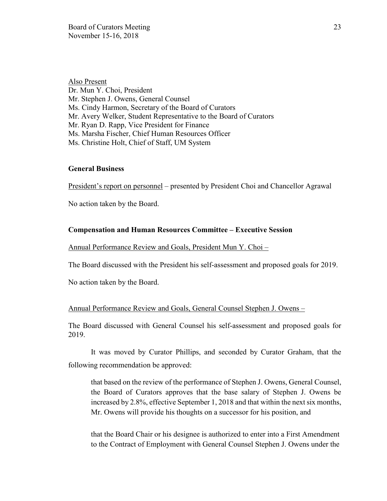Also Present Dr. Mun Y. Choi, President Mr. Stephen J. Owens, General Counsel Ms. Cindy Harmon, Secretary of the Board of Curators Mr. Avery Welker, Student Representative to the Board of Curators Mr. Ryan D. Rapp, Vice President for Finance Ms. Marsha Fischer, Chief Human Resources Officer Ms. Christine Holt, Chief of Staff, UM System

#### **General Business**

President's report on personnel – presented by President Choi and Chancellor Agrawal

No action taken by the Board.

## **Compensation and Human Resources Committee – Executive Session**

Annual Performance Review and Goals, President Mun Y. Choi –

The Board discussed with the President his self-assessment and proposed goals for 2019.

No action taken by the Board.

#### Annual Performance Review and Goals, General Counsel Stephen J. Owens –

The Board discussed with General Counsel his self-assessment and proposed goals for 2019.

It was moved by Curator Phillips, and seconded by Curator Graham, that the following recommendation be approved:

that based on the review of the performance of Stephen J. Owens, General Counsel, the Board of Curators approves that the base salary of Stephen J. Owens be increased by 2.8%, effective September 1, 2018 and that within the next six months, Mr. Owens will provide his thoughts on a successor for his position, and

that the Board Chair or his designee is authorized to enter into a First Amendment to the Contract of Employment with General Counsel Stephen J. Owens under the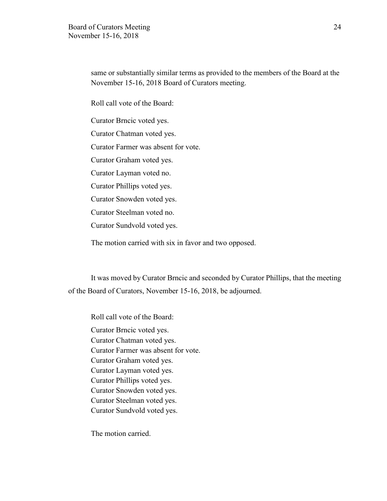same or substantially similar terms as provided to the members of the Board at the November 15-16, 2018 Board of Curators meeting.

Roll call vote of the Board:

Curator Brncic voted yes.

Curator Chatman voted yes.

Curator Farmer was absent for vote.

Curator Graham voted yes.

Curator Layman voted no.

Curator Phillips voted yes.

Curator Snowden voted yes.

Curator Steelman voted no.

Curator Sundvold voted yes.

The motion carried with six in favor and two opposed.

It was moved by Curator Brncic and seconded by Curator Phillips, that the meeting of the Board of Curators, November 15-16, 2018, be adjourned.

Roll call vote of the Board: Curator Brncic voted yes. Curator Chatman voted yes. Curator Farmer was absent for vote. Curator Graham voted yes. Curator Layman voted yes. Curator Phillips voted yes. Curator Snowden voted yes. Curator Steelman voted yes. Curator Sundvold voted yes.

The motion carried.